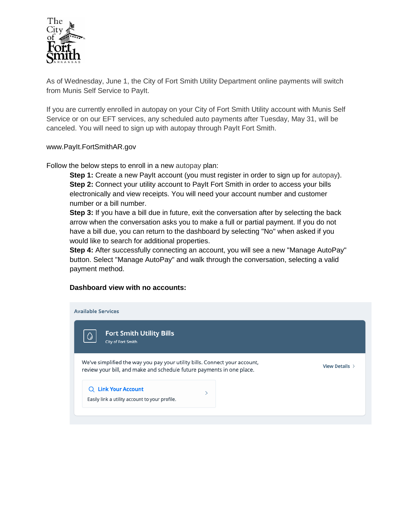

As of Wednesday, June 1, the City of Fort Smith Utility Department online payments will switch from Munis Self Service to PayIt.

If you are currently enrolled in autopay on your City of Fort Smith Utility account with Munis Self Service or on our EFT services, any scheduled auto payments after Tuesday, May 31, will be canceled. You will need to sign up with autopay through PayIt Fort Smith.

## www.PayIt.FortSmithAR.gov

Follow the below steps to enroll in a new autopay plan:

**Step 1:** Create a new PayIt account (you must register in order to sign up for autopay). **Step 2:** Connect your utility account to PayIt Fort Smith in order to access your bills electronically and view receipts. You will need your account number and customer number or a bill number.

**Step 3:** If you have a bill due in future, exit the conversation after by selecting the back arrow when the conversation asks you to make a full or partial payment. If you do not have a bill due, you can return to the dashboard by selecting "No" when asked if you would like to search for additional properties.

**Step 4:** After successfully connecting an account, you will see a new "Manage AutoPay" button. Select "Manage AutoPay" and walk through the conversation, selecting a valid payment method.

## **Dashboard view with no accounts:**